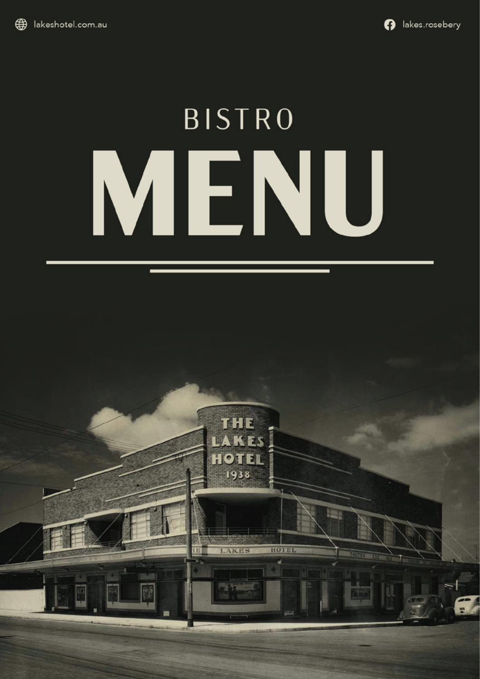

# **BISTRO** MENU

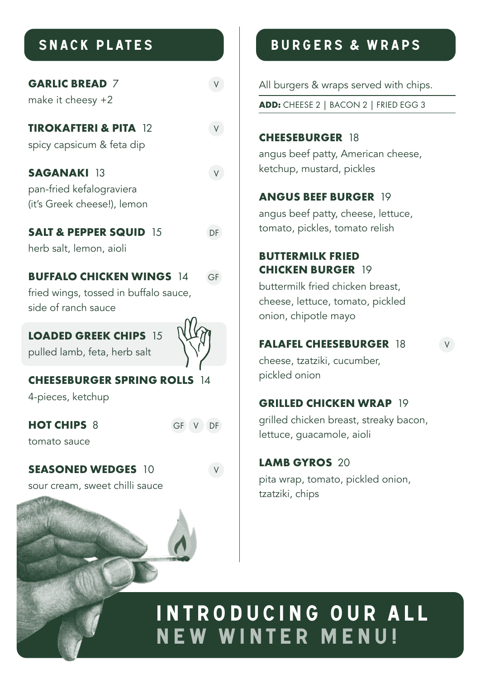| <b>GARLIC BREAD 7</b><br>make it cheesy $+2$                                                    |         |
|-------------------------------------------------------------------------------------------------|---------|
| <b>TIROKAFTERI &amp; PITA 12</b><br>spicy capsicum & feta dip                                   |         |
| <b>SAGANAKI 13</b><br>pan-fried kefalograviera<br>(it's Greek cheese!), lemon                   |         |
| <b>SALT &amp; PEPPER SQUID 15</b><br>herb salt, lemon, aioli                                    | DF      |
| <b>BUFFALO CHICKEN WINGS 14</b><br>fried wings, tossed in buffalo sauce,<br>side of ranch sauce | GF      |
| <b>LOADED GREEK CHIPS 15</b><br>pulled lamb, feta, herb salt                                    |         |
| <b>CHEESEBURGER SPRING ROLLS</b><br>4-pieces, ketchup                                           |         |
| <b>HOT CHIPS 8</b>                                                                              | GF V DF |

tomato sauce

**SEASONED WEDGES** 10 V

sour cream, sweet chilli sauce

## SNACK PLATES BURGERS & WRAPS

All burgers & wraps served with chips.

**ADD:** CHEESE 2 | BACON 2 | FRIED EGG 3

#### **CHEESEBURGER** 18 angus beef patty, American cheese, ketchup, mustard, pickles

#### **ANGUS BEEF BURGER** 19

angus beef patty, cheese, lettuce, tomato, pickles, tomato relish

#### **BUTTERMILK FRIED CHICKEN BURGER** 19

buttermilk fried chicken breast, cheese, lettuce, tomato, pickled onion, chipotle mayo

#### **FALAFEL CHEESEBURGER** 18 V

cheese, tzatziki, cucumber, pickled onion

#### **GRILLED CHICKEN WRAP 19**

grilled chicken breast, streaky bacon, lettuce, guacamole, aioli

#### **LAMB GYROS** 20

pita wrap, tomato, pickled onion, tzatziki, chips

## INTRODUCING OUR ALL NEW WINTER MENU!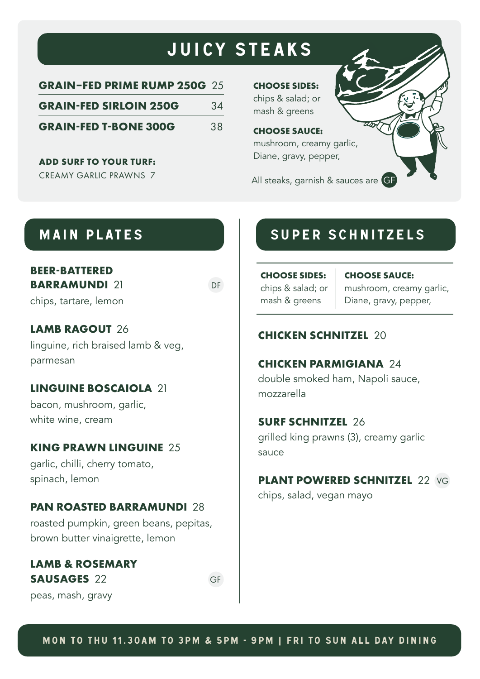## JUICY STEAKS

| <b>GRAIN-FED PRIME RUMP 250G 25</b> |    |
|-------------------------------------|----|
| <b>GRAIN-FED SIRLOIN 250G</b>       | 34 |
| <b>GRAIN-FED T-BONE 300G</b>        | 38 |

**ADD SURF TO YOUR TURF:**

CREAMY GARLIC PRAWNS 7

**CHOOSE SIDES:** chips & salad; or mash & greens

#### **CHOOSE SAUCE:**

mushroom, creamy garlic, Diane, gravy, pepper,

All steaks, garnish & sauces are GF

#### **BEER-BATTERED BARRAMUNDI** 21

chips, tartare, lemon

#### **LAMB RAGOUT** 26 linguine, rich braised lamb & veg, parmesan

#### **LINGUINE BOSCAIOLA** 21

bacon, mushroom, garlic, white wine, cream

#### **KING PRAWN LINGUINE** 25

garlic, chilli, cherry tomato, spinach, lemon

#### **PAN ROASTED BARRAMUNDI** 28

roasted pumpkin, green beans, pepitas, brown butter vinaigrette, lemon

#### **LAMB & ROSEMARY SAUSAGES** 22 GF

peas, mash, gravy

#### MAIN PLATES **NAIN PLATES**

**CHOOSE SIDES:** chips & salad; or mash & greens

**CHOOSE SAUCE:**

mushroom, creamy garlic, Diane, gravy, pepper,

#### **CHICKEN SCHNITZEL** 20

#### **CHICKEN PARMIGIANA** 24

double smoked ham, Napoli sauce, mozzarella

#### **SURF SCHNITZEL** 26

grilled king prawns (3), creamy garlic sauce

#### **PLANT POWERED SCHNITZEL 22 VG**

chips, salad, vegan mayo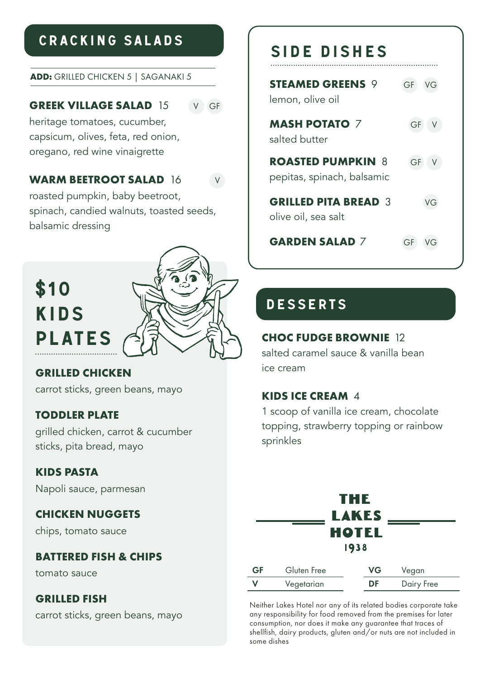### CRACKING SALADS

#### **ADD:** GRILLED CHICKEN 5 | SAGANAKI 5

#### **GREEK VILLAGE SALAD 15 V GF**

heritage tomatoes, cucumber, capsicum, olives, feta, red onion, oregano, red wine vinaigrette

#### **WARM BEETROOT SALAD 16 V**

roasted pumpkin, baby beetroot, spinach, candied walnuts, toasted seeds, balsamic dressing



#### **GRILLED CHICKEN**

carrot sticks, green beans, mayo

#### **TODDLER PLATE**

grilled chicken, carrot & cucumber sticks, pita bread, mayo

#### **KIDS PASTA**

Napoli sauce, parmesan

#### **CHICKEN NUGGETS**

chips, tomato sauce

#### **BATTERED FISH & CHIPS**

tomato sauce

#### **GRILLED FISH**

carrot sticks, green beans, mayo

## SIDE DISHES

| <b>STEAMED GREENS 9</b><br>lemon, olive oil            | GF |
|--------------------------------------------------------|----|
| <b>MASH POTATO 7</b><br>salted butter                  | GF |
| <b>ROASTED PUMPKIN 8</b><br>pepitas, spinach, balsamic | GF |
| <b>GRILLED PITA BREAD 3</b><br>olive oil, sea salt     | に  |
| <b>GARDEN SALAD 7</b>                                  | GF |

#### DESSERTS

#### **CHOC FUDGE BROWNIE** 12

salted caramel sauce & vanilla bean ice cream

#### **KIDS ICE CREAM** 4

1 scoop of vanilla ice cream, chocolate topping, strawberry topping or rainbow sprinkles

| THE          |             |              |            |  |
|--------------|-------------|--------------|------------|--|
| <b>LAKES</b> |             |              |            |  |
|              |             | <b>HOTEL</b> |            |  |
| 1938         |             |              |            |  |
| GF           | Gluten Free | VG           | Vegan      |  |
| v            | Vegetarian  | DF           | Dairy Free |  |

Neither Lakes Hotel nor any of its related bodies corporate take any responsibility for food removed from the premises for later consumption, nor does it make any guarantee that traces of shellfish, dairy products, gluten and/or nuts are not included in some dishes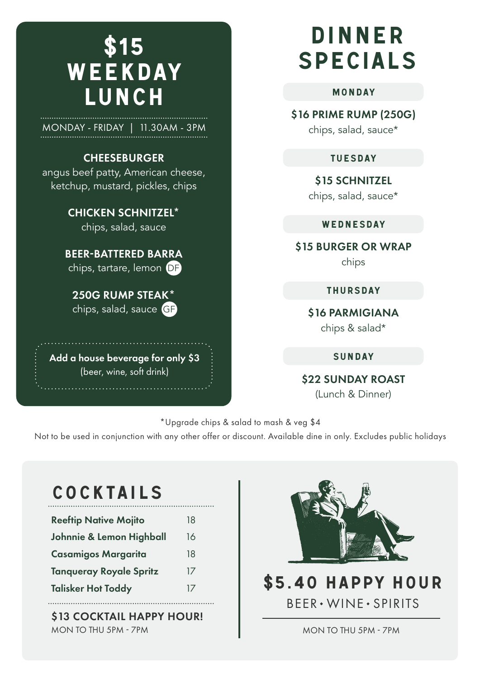## \$15 WEEKDAY LUNCH

MONDAY - FRIDAY | 11.30AM - 3PM

#### **CHEESEBURGER**

angus beef patty, American cheese, ketchup, mustard, pickles, chips

> CHICKEN SCHNITZEL\* chips, salad, sauce

BEER-BATTERED BARRA chips, tartare, lemon DF

250G RUMP STEAK\* chips, salad, sauce GF

Add a house beverage for only \$3 (beer, wine, soft drink)

## DINNER SPECIALS

#### MONDAY

\$16 PRIME RUMP (250G)

chips, salad, sauce\*

#### TUESDAY

\$15 SCHNITZEL

chips, salad, sauce\*

#### WEDNESDAY

\$15 BURGER OR WRAP

chips

THURSDAY

\$16 PARMIGIANA chips & salad\*

SUNDAY

\$22 SUNDAY ROAST

(Lunch & Dinner)

\*Upgrade chips & salad to mash & veg \$4

Not to be used in conjunction with any other offer or discount. Available dine in only. Excludes public holidays

## **COCKTAILS**

| <b>Reeftip Native Mojito</b>   | 18 |
|--------------------------------|----|
| Johnnie & Lemon Highball       | 16 |
| <b>Casamigos Margarita</b>     | 18 |
| <b>Tangueray Royale Spritz</b> | 17 |
| <b>Talisker Hot Toddy</b>      | 17 |
|                                |    |

\$13 COCKTAIL HAPPY HOUR! MON TO THU 5PM - 7PM



## \$5.40 HAPPY HOUR BEER WINE SPIRITS

MON TO THU 5PM - 7PM